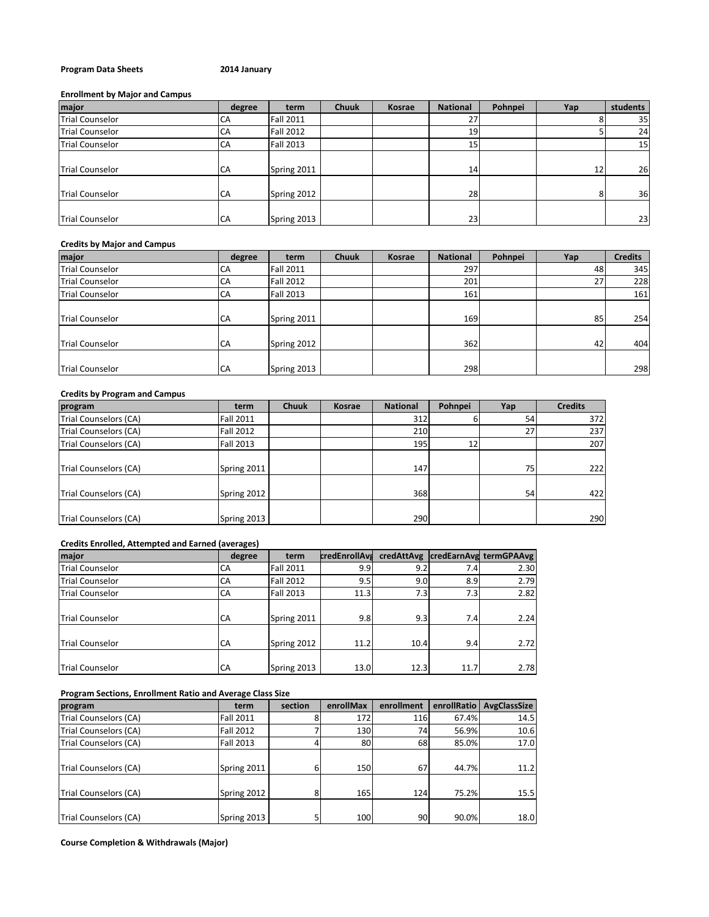# **Program Data Sheets 2014 January**

# **Enrollment by Major and Campus**

| major                  | degree | term             | <b>Chuuk</b> | <b>Kosrae</b> | <b>National</b> | Pohnpei | Yap | students        |
|------------------------|--------|------------------|--------------|---------------|-----------------|---------|-----|-----------------|
| <b>Trial Counselor</b> | СA     | <b>Fall 2011</b> |              |               | 27              |         |     | 35              |
| <b>Trial Counselor</b> | CA     | <b>Fall 2012</b> |              |               | 19              |         |     | 24              |
| <b>Trial Counselor</b> | CA     | <b>Fall 2013</b> |              |               | 15              |         |     | 15 <sub>1</sub> |
| <b>Trial Counselor</b> | CA     | Spring 2011      |              |               | 14              |         | 12  | 26              |
| <b>Trial Counselor</b> | CA     | Spring 2012      |              |               | 28              |         | 8   | 36              |
| <b>Trial Counselor</b> | CA     | Spring 2013      |              |               | 23              |         |     | 23              |

### **Credits by Major and Campus**

| major                  | degree | term             | <b>Chuuk</b> | <b>Kosrae</b> | <b>National</b> | Pohnpei | Yap | <b>Credits</b> |
|------------------------|--------|------------------|--------------|---------------|-----------------|---------|-----|----------------|
| <b>Trial Counselor</b> | СA     | <b>Fall 2011</b> |              |               | 297             |         | 48  | 345            |
| <b>Trial Counselor</b> | СA     | <b>Fall 2012</b> |              |               | 201             |         | 27  | 228            |
| <b>Trial Counselor</b> | СA     | <b>Fall 2013</b> |              |               | 161             |         |     | 161            |
| <b>Trial Counselor</b> | CA     | Spring 2011      |              |               | 169             |         | 85  | 254            |
| <b>Trial Counselor</b> | CA     | Spring 2012      |              |               | 362             |         | 42  | 404            |
| <b>Trial Counselor</b> | CA     | Spring 2013      |              |               | 298             |         |     | 298            |

# **Credits by Program and Campus**

| program               | term             | <b>Chuuk</b> | <b>Kosrae</b> | <b>National</b> | Pohnpei | Yap | <b>Credits</b> |
|-----------------------|------------------|--------------|---------------|-----------------|---------|-----|----------------|
| Trial Counselors (CA) | <b>Fall 2011</b> |              |               | 312             |         | 54  | 372            |
| Trial Counselors (CA) | <b>Fall 2012</b> |              |               | 210             |         | 27  | 237            |
| Trial Counselors (CA) | <b>Fall 2013</b> |              |               | 195             | 12      |     | 207            |
| Trial Counselors (CA) | Spring 2011      |              |               | 147             |         | 75  | 222            |
| Trial Counselors (CA) | Spring 2012      |              |               | 368             |         | 54  | 422            |
| Trial Counselors (CA) | Spring 2013      |              |               | 290             |         |     | 290            |

# **Credits Enrolled, Attempted and Earned (averages)**

| major                  | degree | term             | <b>credEnrollAvs</b> | credAttAvg |      | credEarnAvg termGPAAvg |
|------------------------|--------|------------------|----------------------|------------|------|------------------------|
| <b>Trial Counselor</b> | CA     | <b>Fall 2011</b> | 9.9                  | 9.2        | 7.4  | 2.30                   |
| <b>Trial Counselor</b> | CA     | <b>Fall 2012</b> | 9.5                  | 9.0        | 8.9  | 2.79                   |
| <b>Trial Counselor</b> | CA     | <b>Fall 2013</b> | 11.3                 | 7.3        | 7.3  | 2.82                   |
| <b>Trial Counselor</b> | CA     | Spring 2011      | 9.8                  | 9.3        | 7.4  | 2.24                   |
| <b>Trial Counselor</b> | CA     | Spring 2012      | 11.2                 | 10.4       | 9.4  | 2.72                   |
| <b>Trial Counselor</b> | CA     | Spring 2013      | 13.0                 | 12.3       | 11.7 | 2.78                   |

### **Program Sections, Enrollment Ratio and Average Class Size**

| program               | term             | section | enrollMax | enrollment | enrollRatio | AvgClassSize |
|-----------------------|------------------|---------|-----------|------------|-------------|--------------|
| Trial Counselors (CA) | <b>Fall 2011</b> |         | 172       | 116        | 67.4%       | 14.5         |
| Trial Counselors (CA) | <b>Fall 2012</b> |         | 130       | 74         | 56.9%       | 10.6         |
| Trial Counselors (CA) | Fall 2013        |         | 80        | 68         | 85.0%       | 17.0         |
| Trial Counselors (CA) | Spring 2011      | 6       | 150       | 67         | 44.7%       | 11.2         |
| Trial Counselors (CA) | Spring 2012      | 8       | 165       | 124        | 75.2%       | 15.5         |
| Trial Counselors (CA) | Spring 2013      |         | 100       | 90 l       | 90.0%       | 18.0         |

**Course Completion & Withdrawals (Major)**